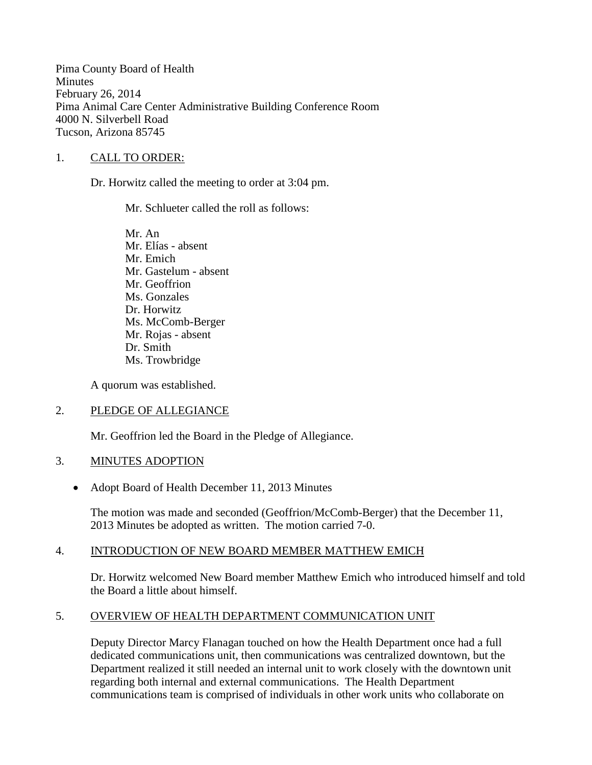Pima County Board of Health **Minutes** February 26, 2014 Pima Animal Care Center Administrative Building Conference Room 4000 N. Silverbell Road Tucson, Arizona 85745

## 1. CALL TO ORDER:

Dr. Horwitz called the meeting to order at 3:04 pm.

Mr. Schlueter called the roll as follows:

Mr. An Mr. Elías - absent Mr. Emich Mr. Gastelum - absent Mr. Geoffrion Ms. Gonzales Dr. Horwitz Ms. McComb-Berger Mr. Rojas - absent Dr. Smith Ms. Trowbridge

A quorum was established.

## 2. PLEDGE OF ALLEGIANCE

Mr. Geoffrion led the Board in the Pledge of Allegiance.

## 3. MINUTES ADOPTION

• Adopt Board of Health December 11, 2013 Minutes

The motion was made and seconded (Geoffrion/McComb-Berger) that the December 11, 2013 Minutes be adopted as written. The motion carried 7-0.

## 4. INTRODUCTION OF NEW BOARD MEMBER MATTHEW EMICH

Dr. Horwitz welcomed New Board member Matthew Emich who introduced himself and told the Board a little about himself.

## 5. OVERVIEW OF HEALTH DEPARTMENT COMMUNICATION UNIT

Deputy Director Marcy Flanagan touched on how the Health Department once had a full dedicated communications unit, then communications was centralized downtown, but the Department realized it still needed an internal unit to work closely with the downtown unit regarding both internal and external communications. The Health Department communications team is comprised of individuals in other work units who collaborate on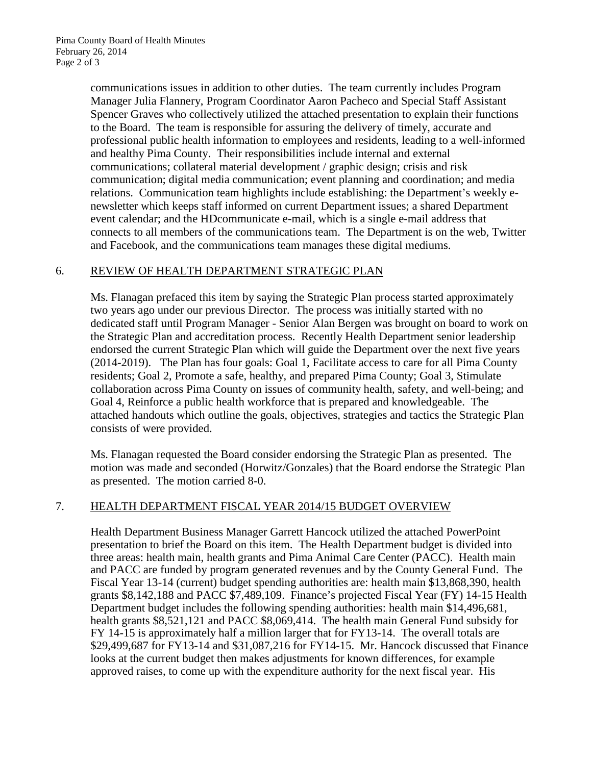communications issues in addition to other duties. The team currently includes Program Manager Julia Flannery, Program Coordinator Aaron Pacheco and Special Staff Assistant Spencer Graves who collectively utilized the attached presentation to explain their functions to the Board. The team is responsible for assuring the delivery of timely, accurate and professional public health information to employees and residents, leading to a well-informed and healthy Pima County. Their responsibilities include internal and external communications; collateral material development / graphic design; crisis and risk communication; digital media communication; event planning and coordination; and media relations. Communication team highlights include establishing: the Department's weekly enewsletter which keeps staff informed on current Department issues; a shared Department event calendar; and the HDcommunicate e-mail, which is a single e-mail address that connects to all members of the communications team. The Department is on the web, Twitter and Facebook, and the communications team manages these digital mediums.

## 6. REVIEW OF HEALTH DEPARTMENT STRATEGIC PLAN

Ms. Flanagan prefaced this item by saying the Strategic Plan process started approximately two years ago under our previous Director. The process was initially started with no dedicated staff until Program Manager - Senior Alan Bergen was brought on board to work on the Strategic Plan and accreditation process. Recently Health Department senior leadership endorsed the current Strategic Plan which will guide the Department over the next five years (2014-2019). The Plan has four goals: Goal 1, Facilitate access to care for all Pima County residents; Goal 2, Promote a safe, healthy, and prepared Pima County; Goal 3, Stimulate collaboration across Pima County on issues of community health, safety, and well-being; and Goal 4, Reinforce a public health workforce that is prepared and knowledgeable. The attached handouts which outline the goals, objectives, strategies and tactics the Strategic Plan consists of were provided.

Ms. Flanagan requested the Board consider endorsing the Strategic Plan as presented. The motion was made and seconded (Horwitz/Gonzales) that the Board endorse the Strategic Plan as presented. The motion carried 8-0.

# 7. HEALTH DEPARTMENT FISCAL YEAR 2014/15 BUDGET OVERVIEW

Health Department Business Manager Garrett Hancock utilized the attached PowerPoint presentation to brief the Board on this item. The Health Department budget is divided into three areas: health main, health grants and Pima Animal Care Center (PACC). Health main and PACC are funded by program generated revenues and by the County General Fund. The Fiscal Year 13-14 (current) budget spending authorities are: health main \$13,868,390, health grants \$8,142,188 and PACC \$7,489,109. Finance's projected Fiscal Year (FY) 14-15 Health Department budget includes the following spending authorities: health main \$14,496,681, health grants \$8,521,121 and PACC \$8,069,414. The health main General Fund subsidy for FY 14-15 is approximately half a million larger that for FY13-14. The overall totals are \$29,499,687 for FY13-14 and \$31,087,216 for FY14-15. Mr. Hancock discussed that Finance looks at the current budget then makes adjustments for known differences, for example approved raises, to come up with the expenditure authority for the next fiscal year. His